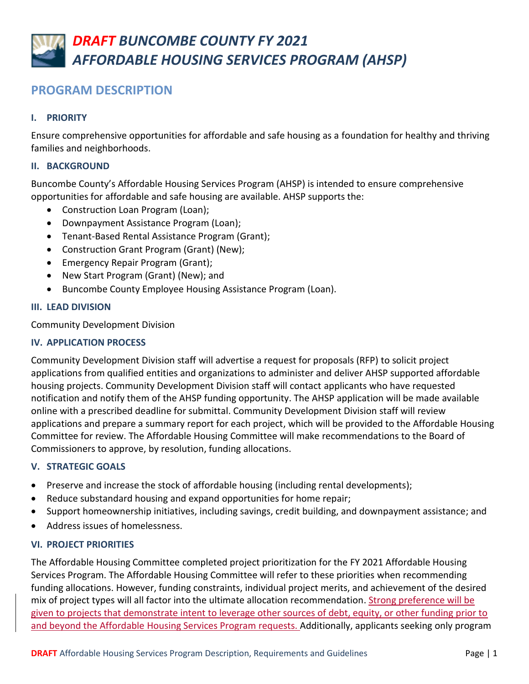# **PROGRAM DESCRIPTION**

# **I. PRIORITY**

Ensure comprehensive opportunities for affordable and safe housing as a foundation for healthy and thriving families and neighborhoods.

# **II. BACKGROUND**

Buncombe County's Affordable Housing Services Program (AHSP) is intended to ensure comprehensive opportunities for affordable and safe housing are available. AHSP supports the:

- Construction Loan Program (Loan);
- Downpayment Assistance Program (Loan);
- Tenant-Based Rental Assistance Program (Grant);
- Construction Grant Program (Grant) (New);
- Emergency Repair Program (Grant);
- New Start Program (Grant) (New); and
- Buncombe County Employee Housing Assistance Program (Loan).

# **III. LEAD DIVISION**

Community Development Division

# **IV. APPLICATION PROCESS**

Community Development Division staff will advertise a request for proposals (RFP) to solicit project applications from qualified entities and organizations to administer and deliver AHSP supported affordable housing projects. Community Development Division staff will contact applicants who have requested notification and notify them of the AHSP funding opportunity. The AHSP application will be made available online with a prescribed deadline for submittal. Community Development Division staff will review applications and prepare a summary report for each project, which will be provided to the Affordable Housing Committee for review. The Affordable Housing Committee will make recommendations to the Board of Commissioners to approve, by resolution, funding allocations.

# **V. STRATEGIC GOALS**

- Preserve and increase the stock of affordable housing (including rental developments);
- Reduce substandard housing and expand opportunities for home repair;
- Support homeownership initiatives, including savings, credit building, and downpayment assistance; and
- Address issues of homelessness.

# **VI. PROJECT PRIORITIES**

The Affordable Housing Committee completed project prioritization for the FY 2021 Affordable Housing Services Program. The Affordable Housing Committee will refer to these priorities when recommending funding allocations. However, funding constraints, individual project merits, and achievement of the desired mix of project types will all factor into the ultimate allocation recommendation. Strong preference will be given to projects that demonstrate intent to leverage other sources of debt, equity, or other funding prior to and beyond the Affordable Housing Services Program requests. Additionally, applicants seeking only program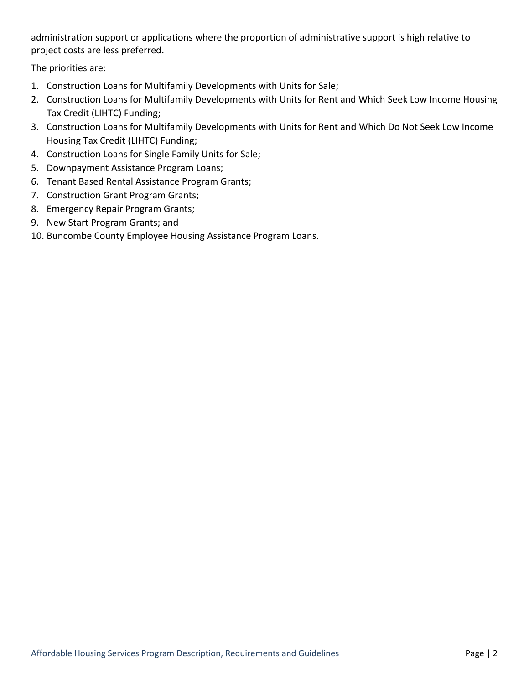administration support or applications where the proportion of administrative support is high relative to project costs are less preferred.

The priorities are:

- 1. Construction Loans for Multifamily Developments with Units for Sale;
- 2. Construction Loans for Multifamily Developments with Units for Rent and Which Seek Low Income Housing Tax Credit (LIHTC) Funding;
- 3. Construction Loans for Multifamily Developments with Units for Rent and Which Do Not Seek Low Income Housing Tax Credit (LIHTC) Funding;
- 4. Construction Loans for Single Family Units for Sale;
- 5. Downpayment Assistance Program Loans;
- 6. Tenant Based Rental Assistance Program Grants;
- 7. Construction Grant Program Grants;
- 8. Emergency Repair Program Grants;
- 9. New Start Program Grants; and
- 10. Buncombe County Employee Housing Assistance Program Loans.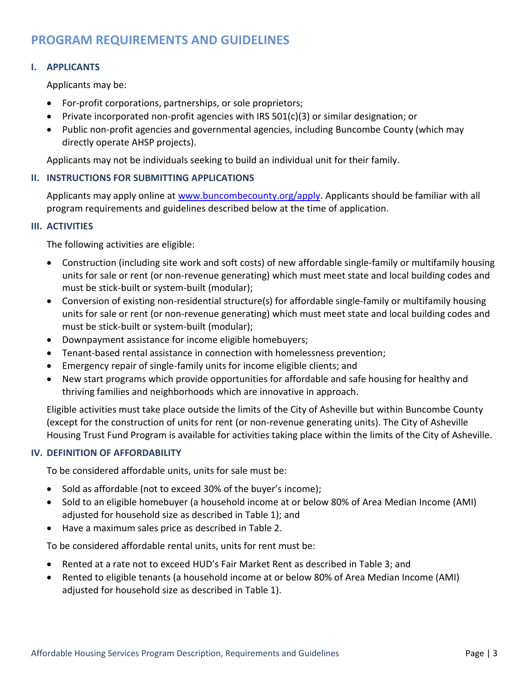# **PROGRAM REQUIREMENTS AND GUIDELINES**

### **I. APPLICANTS**

Applicants may be:

- For-profit corporations, partnerships, or sole proprietors;
- Private incorporated non-profit agencies with IRS  $501(c)(3)$  or similar designation; or
- Public non-profit agencies and governmental agencies, including Buncombe County (which may directly operate AHSP projects).

Applicants may not be individuals seeking to build an individual unit for their family.

#### **II. INSTRUCTIONS FOR SUBMITTING APPLICATIONS**

Applicants may apply online at [www.buncombecounty.org/apply.](http://www.buncombecounty.org/apply) Applicants should be familiar with all program requirements and guidelines described below at the time of application.

#### **III. ACTIVITIES**

The following activities are eligible:

- Construction (including site work and soft costs) of new affordable single-family or multifamily housing units for sale or rent (or non-revenue generating) which must meet state and local building codes and must be stick-built or system-built (modular);
- Conversion of existing non-residential structure(s) for affordable single-family or multifamily housing units for sale or rent (or non-revenue generating) which must meet state and local building codes and must be stick-built or system-built (modular);
- Downpayment assistance for income eligible homebuyers;
- Tenant-based rental assistance in connection with homelessness prevention;
- Emergency repair of single-family units for income eligible clients; and
- New start programs which provide opportunities for affordable and safe housing for healthy and thriving families and neighborhoods which are innovative in approach.

Eligible activities must take place outside the limits of the City of Asheville but within Buncombe County (except for the construction of units for rent (or non-revenue generating units). The City of Asheville Housing Trust Fund Program is available for activities taking place within the limits of the City of Asheville.

### **IV. DEFINITION OF AFFORDABILITY**

To be considered affordable units, units for sale must be:

- Sold as affordable (not to exceed 30% of the buyer's income);
- Sold to an eligible homebuyer (a household income at or below 80% of Area Median Income (AMI) adjusted for household size as described in Table 1); and
- Have a maximum sales price as described in Table 2.

To be considered affordable rental units, units for rent must be:

- Rented at a rate not to exceed HUD's Fair Market Rent as described in Table 3; and
- Rented to eligible tenants (a household income at or below 80% of Area Median Income (AMI) adjusted for household size as described in Table 1).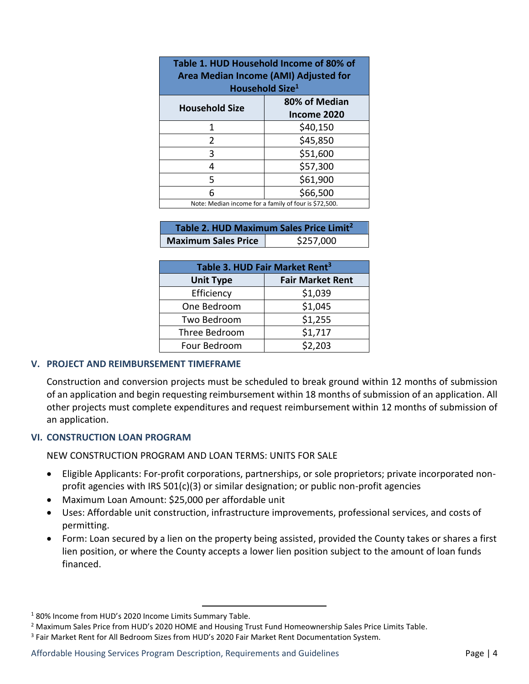| Table 1. HUD Household Income of 80% of<br>Area Median Income (AMI) Adjusted for<br>Household Size <sup>1</sup> |                              |  |
|-----------------------------------------------------------------------------------------------------------------|------------------------------|--|
| <b>Household Size</b>                                                                                           | 80% of Median<br>Income 2020 |  |
| 1                                                                                                               | \$40,150                     |  |
| $\overline{2}$                                                                                                  | \$45,850                     |  |
| 3                                                                                                               | \$51,600                     |  |
| 4                                                                                                               | \$57,300                     |  |
| 5                                                                                                               | \$61,900                     |  |
| 6                                                                                                               | \$66,500                     |  |
| Note: Median income for a family of four is \$72,500.                                                           |                              |  |

| Table 2. HUD Maximum Sales Price Limit <sup>2</sup> |           |  |
|-----------------------------------------------------|-----------|--|
| <b>Maximum Sales Price</b>                          | \$257,000 |  |

| Table 3. HUD Fair Market Rent <sup>3</sup> |                         |  |
|--------------------------------------------|-------------------------|--|
| <b>Unit Type</b>                           | <b>Fair Market Rent</b> |  |
| Efficiency                                 | \$1,039                 |  |
| One Bedroom                                | \$1,045                 |  |
| Two Bedroom                                | \$1,255                 |  |
| Three Bedroom                              | \$1,717                 |  |
| Four Bedroom                               | \$2,203                 |  |

### **V. PROJECT AND REIMBURSEMENT TIMEFRAME**

Construction and conversion projects must be scheduled to break ground within 12 months of submission of an application and begin requesting reimbursement within 18 months of submission of an application. All other projects must complete expenditures and request reimbursement within 12 months of submission of an application.

### **VI. CONSTRUCTION LOAN PROGRAM**

NEW CONSTRUCTION PROGRAM AND LOAN TERMS: UNITS FOR SALE

- Eligible Applicants: For-profit corporations, partnerships, or sole proprietors; private incorporated nonprofit agencies with IRS 501(c)(3) or similar designation; or public non-profit agencies
- Maximum Loan Amount: \$25,000 per affordable unit
- Uses: Affordable unit construction, infrastructure improvements, professional services, and costs of permitting.
- Form: Loan secured by a lien on the property being assisted, provided the County takes or shares a first lien position, or where the County accepts a lower lien position subject to the amount of loan funds financed.

 $\overline{a}$ 

<sup>1</sup> 80% Income from HUD's 2020 Income Limits Summary Table.

<sup>&</sup>lt;sup>2</sup> Maximum Sales Price from HUD's 2020 HOME and Housing Trust Fund Homeownership Sales Price Limits Table.

<sup>3</sup> Fair Market Rent for All Bedroom Sizes from HUD's 2020 Fair Market Rent Documentation System.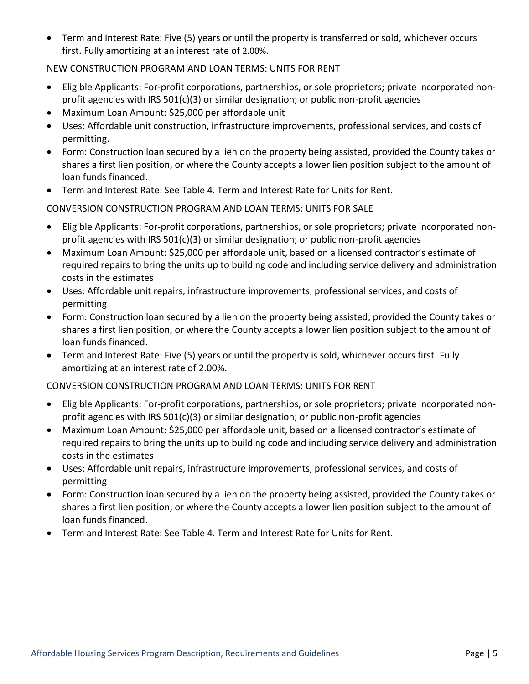Term and Interest Rate: Five (5) years or until the property is transferred or sold, whichever occurs first. Fully amortizing at an interest rate of 2.00%.

# NEW CONSTRUCTION PROGRAM AND LOAN TERMS: UNITS FOR RENT

- Eligible Applicants: For-profit corporations, partnerships, or sole proprietors; private incorporated nonprofit agencies with IRS 501(c)(3) or similar designation; or public non-profit agencies
- Maximum Loan Amount: \$25,000 per affordable unit
- Uses: Affordable unit construction, infrastructure improvements, professional services, and costs of permitting.
- Form: Construction loan secured by a lien on the property being assisted, provided the County takes or shares a first lien position, or where the County accepts a lower lien position subject to the amount of loan funds financed.
- Term and Interest Rate: See Table 4. Term and Interest Rate for Units for Rent.

CONVERSION CONSTRUCTION PROGRAM AND LOAN TERMS: UNITS FOR SALE

- Eligible Applicants: For-profit corporations, partnerships, or sole proprietors; private incorporated nonprofit agencies with IRS 501(c)(3) or similar designation; or public non-profit agencies
- Maximum Loan Amount: \$25,000 per affordable unit, based on a licensed contractor's estimate of required repairs to bring the units up to building code and including service delivery and administration costs in the estimates
- Uses: Affordable unit repairs, infrastructure improvements, professional services, and costs of permitting
- Form: Construction loan secured by a lien on the property being assisted, provided the County takes or shares a first lien position, or where the County accepts a lower lien position subject to the amount of loan funds financed.
- Term and Interest Rate: Five (5) years or until the property is sold, whichever occurs first. Fully amortizing at an interest rate of 2.00%.

CONVERSION CONSTRUCTION PROGRAM AND LOAN TERMS: UNITS FOR RENT

- Eligible Applicants: For-profit corporations, partnerships, or sole proprietors; private incorporated nonprofit agencies with IRS  $501(c)(3)$  or similar designation; or public non-profit agencies
- Maximum Loan Amount: \$25,000 per affordable unit, based on a licensed contractor's estimate of required repairs to bring the units up to building code and including service delivery and administration costs in the estimates
- Uses: Affordable unit repairs, infrastructure improvements, professional services, and costs of permitting
- Form: Construction loan secured by a lien on the property being assisted, provided the County takes or shares a first lien position, or where the County accepts a lower lien position subject to the amount of loan funds financed.
- Term and Interest Rate: See Table 4. Term and Interest Rate for Units for Rent.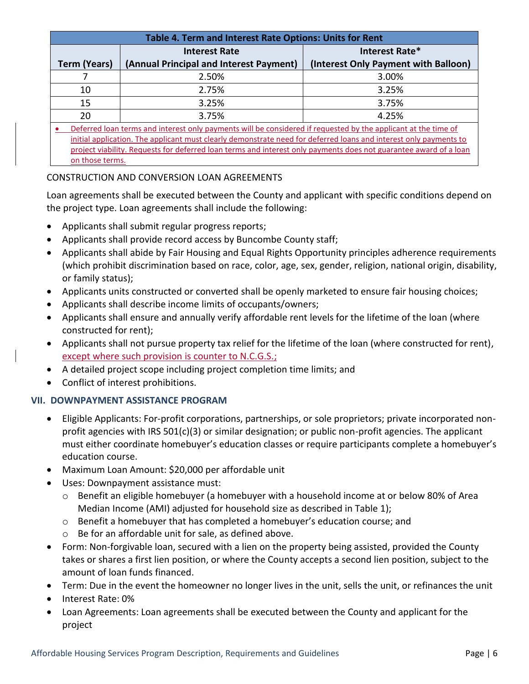| Table 4. Term and Interest Rate Options: Units for Rent                                                           |                                         |                                      |
|-------------------------------------------------------------------------------------------------------------------|-----------------------------------------|--------------------------------------|
|                                                                                                                   | <b>Interest Rate</b>                    | Interest Rate*                       |
| <b>Term (Years)</b>                                                                                               | (Annual Principal and Interest Payment) | (Interest Only Payment with Balloon) |
|                                                                                                                   | 2.50%                                   | 3.00%                                |
| 10                                                                                                                | 2.75%                                   | 3.25%                                |
| 15                                                                                                                | 3.25%                                   | 3.75%                                |
| 20                                                                                                                | 3.75%                                   | 4.25%                                |
| Deferred loan terms and interest only payments will be considered if requested by the applicant at the time of    |                                         |                                      |
| initial application. The applicant must clearly demonstrate need for deferred loans and interest only payments to |                                         |                                      |
| project viability. Requests for deferred loan terms and interest only payments does not guarantee award of a loan |                                         |                                      |
| on those terms.                                                                                                   |                                         |                                      |

# CONSTRUCTION AND CONVERSION LOAN AGREEMENTS

Loan agreements shall be executed between the County and applicant with specific conditions depend on the project type. Loan agreements shall include the following:

- Applicants shall submit regular progress reports;
- Applicants shall provide record access by Buncombe County staff;
- Applicants shall abide by Fair Housing and Equal Rights Opportunity principles adherence requirements (which prohibit discrimination based on race, color, age, sex, gender, religion, national origin, disability, or family status);
- Applicants units constructed or converted shall be openly marketed to ensure fair housing choices;
- Applicants shall describe income limits of occupants/owners;
- Applicants shall ensure and annually verify affordable rent levels for the lifetime of the loan (where constructed for rent);
- Applicants shall not pursue property tax relief for the lifetime of the loan (where constructed for rent), except where such provision is counter to N.C.G.S.;
- A detailed project scope including project completion time limits; and
- Conflict of interest prohibitions.

# **VII. DOWNPAYMENT ASSISTANCE PROGRAM**

- Eligible Applicants: For-profit corporations, partnerships, or sole proprietors; private incorporated nonprofit agencies with IRS 501(c)(3) or similar designation; or public non-profit agencies. The applicant must either coordinate homebuyer's education classes or require participants complete a homebuyer's education course.
- Maximum Loan Amount: \$20,000 per affordable unit
- Uses: Downpayment assistance must:
	- o Benefit an eligible homebuyer (a homebuyer with a household income at or below 80% of Area Median Income (AMI) adjusted for household size as described in Table 1);
	- $\circ$  Benefit a homebuyer that has completed a homebuyer's education course; and
	- o Be for an affordable unit for sale, as defined above.
- Form: Non-forgivable loan, secured with a lien on the property being assisted, provided the County takes or shares a first lien position, or where the County accepts a second lien position, subject to the amount of loan funds financed.
- Term: Due in the event the homeowner no longer lives in the unit, sells the unit, or refinances the unit
- Interest Rate: 0%
- Loan Agreements: Loan agreements shall be executed between the County and applicant for the project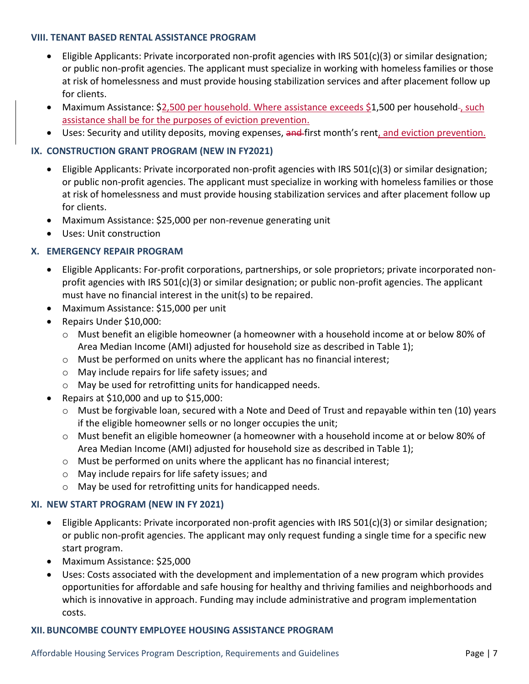#### **VIII. TENANT BASED RENTAL ASSISTANCE PROGRAM**

- Eligible Applicants: Private incorporated non-profit agencies with IRS 501(c)(3) or similar designation; or public non-profit agencies. The applicant must specialize in working with homeless families or those at risk of homelessness and must provide housing stabilization services and after placement follow up for clients.
- Maximum Assistance: \$2,500 per household. Where assistance exceeds \$1,500 per household-, such assistance shall be for the purposes of eviction prevention.
- Uses: Security and utility deposits, moving expenses, and first month's rent, and eviction prevention.

## **IX. CONSTRUCTION GRANT PROGRAM (NEW IN FY2021)**

- **Eligible Applicants: Private incorporated non-profit agencies with IRS 501(c)(3) or similar designation;** or public non-profit agencies. The applicant must specialize in working with homeless families or those at risk of homelessness and must provide housing stabilization services and after placement follow up for clients.
- Maximum Assistance: \$25,000 per non-revenue generating unit
- Uses: Unit construction

## **X. EMERGENCY REPAIR PROGRAM**

- Eligible Applicants: For-profit corporations, partnerships, or sole proprietors; private incorporated nonprofit agencies with IRS 501(c)(3) or similar designation; or public non-profit agencies. The applicant must have no financial interest in the unit(s) to be repaired.
- Maximum Assistance: \$15,000 per unit
- Repairs Under \$10,000:
	- $\circ$  Must benefit an eligible homeowner (a homeowner with a household income at or below 80% of Area Median Income (AMI) adjusted for household size as described in Table 1);
	- $\circ$  Must be performed on units where the applicant has no financial interest;
	- o May include repairs for life safety issues; and
	- o May be used for retrofitting units for handicapped needs.
- Repairs at \$10,000 and up to \$15,000:
	- $\circ$  Must be forgivable loan, secured with a Note and Deed of Trust and repayable within ten (10) years if the eligible homeowner sells or no longer occupies the unit;
	- o Must benefit an eligible homeowner (a homeowner with a household income at or below 80% of Area Median Income (AMI) adjusted for household size as described in Table 1);
	- $\circ$  Must be performed on units where the applicant has no financial interest;
	- o May include repairs for life safety issues; and
	- o May be used for retrofitting units for handicapped needs.

### **XI. NEW START PROGRAM (NEW IN FY 2021)**

- Eligible Applicants: Private incorporated non-profit agencies with IRS 501(c)(3) or similar designation; or public non-profit agencies. The applicant may only request funding a single time for a specific new start program.
- Maximum Assistance: \$25,000
- Uses: Costs associated with the development and implementation of a new program which provides opportunities for affordable and safe housing for healthy and thriving families and neighborhoods and which is innovative in approach. Funding may include administrative and program implementation costs.

### **XII. BUNCOMBE COUNTY EMPLOYEE HOUSING ASSISTANCE PROGRAM**